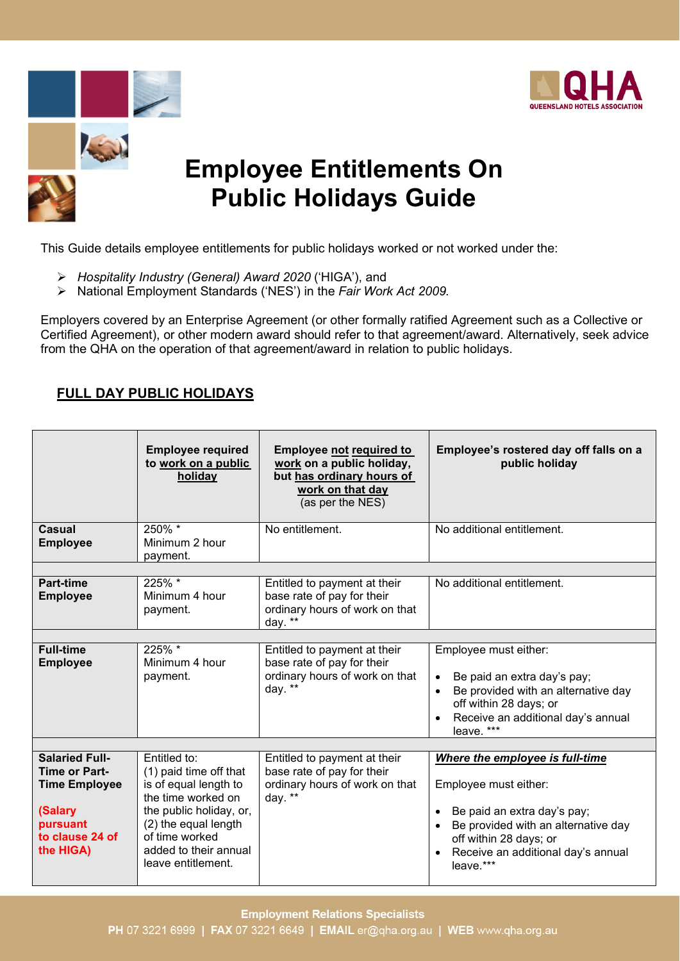







This Guide details employee entitlements for public holidays worked or not worked under the:

- *Hospitality Industry (General) Award 2020* ('HIGA'), and
- National Employment Standards ('NES') in the *Fair Work Act 2009.*

Employers covered by an Enterprise Agreement (or other formally ratified Agreement such as a Collective or Certified Agreement), or other modern award should refer to that agreement/award. Alternatively, seek advice from the QHA on the operation of that agreement/award in relation to public holidays.

### **FULL DAY PUBLIC HOLIDAYS**

|                                                                                                                              | <b>Employee required</b><br>to work on a public<br>holiday                                                                                                                                                | <b>Employee not required to</b><br>work on a public holiday,<br>but has ordinary hours of<br>work on that day<br>(as per the NES) | Employee's rostered day off falls on a<br>public holiday                                                                                                                                                                              |
|------------------------------------------------------------------------------------------------------------------------------|-----------------------------------------------------------------------------------------------------------------------------------------------------------------------------------------------------------|-----------------------------------------------------------------------------------------------------------------------------------|---------------------------------------------------------------------------------------------------------------------------------------------------------------------------------------------------------------------------------------|
| Casual<br><b>Employee</b>                                                                                                    | 250% *<br>Minimum 2 hour<br>payment.                                                                                                                                                                      | No entitlement.                                                                                                                   | No additional entitlement.                                                                                                                                                                                                            |
|                                                                                                                              |                                                                                                                                                                                                           |                                                                                                                                   |                                                                                                                                                                                                                                       |
| <b>Part-time</b><br><b>Employee</b>                                                                                          | 225% *<br>Minimum 4 hour<br>payment.                                                                                                                                                                      | Entitled to payment at their<br>base rate of pay for their<br>ordinary hours of work on that<br>day. $**$                         | No additional entitlement.                                                                                                                                                                                                            |
|                                                                                                                              |                                                                                                                                                                                                           |                                                                                                                                   |                                                                                                                                                                                                                                       |
| <b>Full-time</b><br><b>Employee</b>                                                                                          | 225% *<br>Minimum 4 hour<br>payment.                                                                                                                                                                      | Entitled to payment at their<br>base rate of pay for their<br>ordinary hours of work on that<br>day. **                           | Employee must either:<br>Be paid an extra day's pay;<br>$\bullet$<br>Be provided with an alternative day<br>$\bullet$<br>off within 28 days; or<br>Receive an additional day's annual<br>$\bullet$<br>leave. ***                      |
|                                                                                                                              |                                                                                                                                                                                                           |                                                                                                                                   |                                                                                                                                                                                                                                       |
| <b>Salaried Full-</b><br><b>Time or Part-</b><br><b>Time Employee</b><br>(Salary<br>pursuant<br>to clause 24 of<br>the HIGA) | Entitled to:<br>(1) paid time off that<br>is of equal length to<br>the time worked on<br>the public holiday, or,<br>(2) the equal length<br>of time worked<br>added to their annual<br>leave entitlement. | Entitled to payment at their<br>base rate of pay for their<br>ordinary hours of work on that<br>day. **                           | Where the employee is full-time<br>Employee must either:<br>Be paid an extra day's pay;<br>$\bullet$<br>Be provided with an alternative day<br>$\bullet$<br>off within 28 days; or<br>Receive an additional day's annual<br>leave.*** |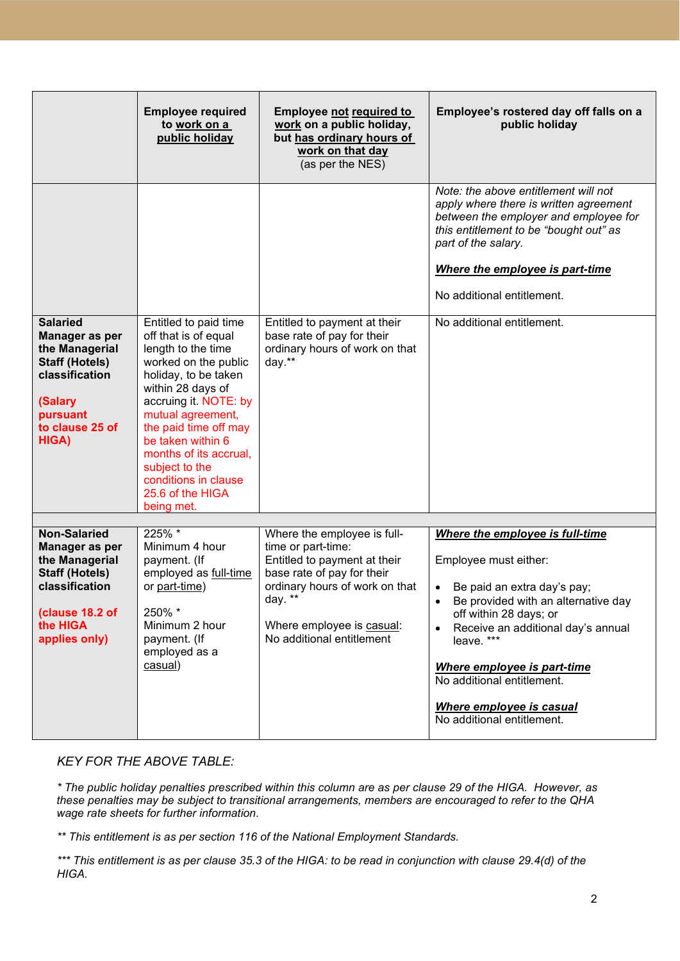|                                                                                                                                                    | <b>Employee required</b><br>to work on a<br>public holiday                                                                                                                                                                                                                                                                                 | <b>Employee not required to</b><br>work on a public holiday,<br>but has ordinary hours of<br>work on that day<br>(as per the NES)                                                                                        | Employee's rostered day off falls on a<br>public holiday                                                                                                                                                                                                                                                                                                                   |
|----------------------------------------------------------------------------------------------------------------------------------------------------|--------------------------------------------------------------------------------------------------------------------------------------------------------------------------------------------------------------------------------------------------------------------------------------------------------------------------------------------|--------------------------------------------------------------------------------------------------------------------------------------------------------------------------------------------------------------------------|----------------------------------------------------------------------------------------------------------------------------------------------------------------------------------------------------------------------------------------------------------------------------------------------------------------------------------------------------------------------------|
|                                                                                                                                                    |                                                                                                                                                                                                                                                                                                                                            |                                                                                                                                                                                                                          | Note: the above entitlement will not<br>apply where there is written agreement<br>between the employer and employee for<br>this entitlement to be "bought out" as<br>part of the salary.<br><b>Where the employee is part-time</b><br>No additional entitlement.                                                                                                           |
| <b>Salaried</b><br>Manager as per<br>the Managerial<br><b>Staff (Hotels)</b><br>classification<br>(Salary<br>pursuant<br>to clause 25 of<br>HIGA)  | Entitled to paid time<br>off that is of equal<br>length to the time<br>worked on the public<br>holiday, to be taken<br>within 28 days of<br>accruing it. NOTE: by<br>mutual agreement,<br>the paid time off may<br>be taken within 6<br>months of its accrual,<br>subject to the<br>conditions in clause<br>25.6 of the HIGA<br>being met. | Entitled to payment at their<br>base rate of pay for their<br>ordinary hours of work on that<br>day.**                                                                                                                   | No additional entitlement.                                                                                                                                                                                                                                                                                                                                                 |
| <b>Non-Salaried</b><br>Manager as per<br>the Managerial<br><b>Staff (Hotels)</b><br>classification<br>(clause 18.2 of<br>the HIGA<br>applies only) | 225% *<br>Minimum 4 hour<br>payment. (If<br>employed as full-time<br>or part-time)<br>250% *<br>Minimum 2 hour<br>payment. (If<br>employed as a<br>casual)                                                                                                                                                                                 | Where the employee is full-<br>time or part-time:<br>Entitled to payment at their<br>base rate of pay for their<br>ordinary hours of work on that<br>day. $**$<br>Where employee is casual:<br>No additional entitlement | Where the employee is full-time<br>Employee must either:<br>Be paid an extra day's pay;<br>$\bullet$<br>Be provided with an alternative day<br>$\bullet$<br>off within 28 days; or<br>Receive an additional day's annual<br>$\bullet$<br>leave. ***<br>Where employee is part-time<br>No additional entitlement.<br>Where employee is casual<br>No additional entitlement. |

#### *KEY FOR THE ABOVE TABLE:*

*\* The public holiday penalties prescribed within this column are as per clause 29 of the HIGA. However, as these penalties may be subject to transitional arrangements, members are encouraged to refer to the QHA wage rate sheets for further information.*

*\*\* This entitlement is as per section 116 of the National Employment Standards.*

*\*\*\* This entitlement is as per clause 35.3 of the HIGA: to be read in conjunction with clause 29.4(d) of the HIGA.*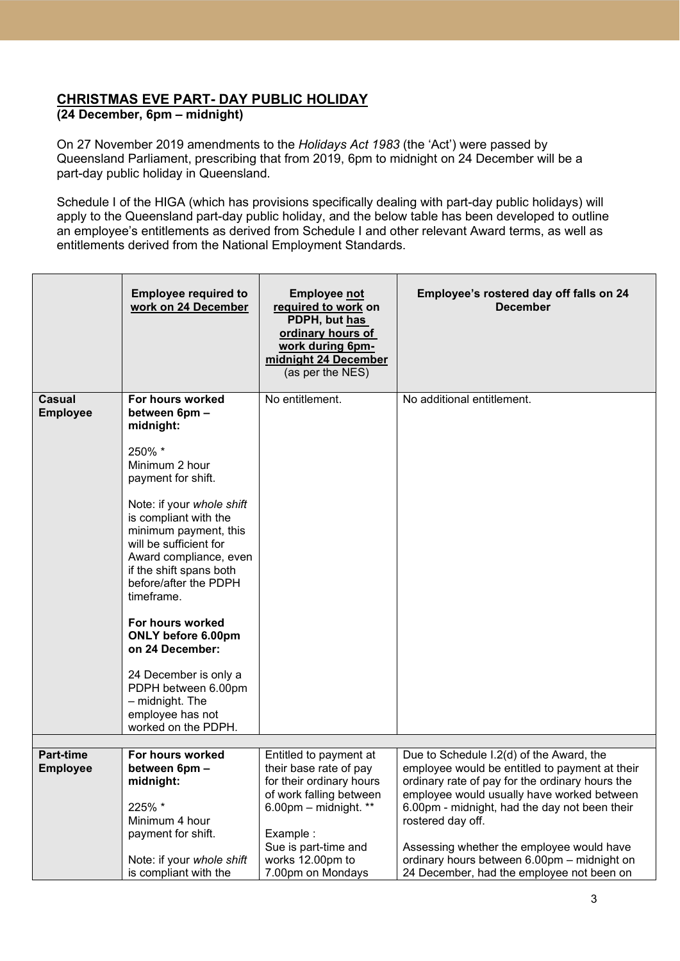## **CHRISTMAS EVE PART- DAY PUBLIC HOLIDAY**

### **(24 December, 6pm – midnight)**

On 27 November 2019 amendments to the *Holidays Act 1983* (the 'Act') were passed by Queensland Parliament, prescribing that from 2019, 6pm to midnight on 24 December will be a part-day public holiday in Queensland.

Schedule I of the HIGA (which has provisions specifically dealing with part-day public holidays) will apply to the Queensland part-day public holiday, and the below table has been developed to outline an employee's entitlements as derived from Schedule I and other relevant Award terms, as well as entitlements derived from the National Employment Standards.

|                              | <b>Employee required to</b><br>work on 24 December                                                                                                                                                                                                                                                                                                                                                                 | <b>Employee not</b><br>required to work on<br>PDPH, but has<br>ordinary hours of<br>work during 6pm-<br>midnight 24 December<br>(as per the NES)                       | Employee's rostered day off falls on 24<br><b>December</b>                                                                                                                                                                                                                                                     |
|------------------------------|--------------------------------------------------------------------------------------------------------------------------------------------------------------------------------------------------------------------------------------------------------------------------------------------------------------------------------------------------------------------------------------------------------------------|------------------------------------------------------------------------------------------------------------------------------------------------------------------------|----------------------------------------------------------------------------------------------------------------------------------------------------------------------------------------------------------------------------------------------------------------------------------------------------------------|
| Casual<br><b>Employee</b>    | For hours worked<br>between 6pm -<br>midnight:<br>250% *<br>Minimum 2 hour<br>payment for shift.<br>Note: if your whole shift<br>is compliant with the<br>minimum payment, this<br>will be sufficient for<br>Award compliance, even<br>if the shift spans both<br>before/after the PDPH<br>timeframe.<br>For hours worked<br>ONLY before 6.00pm<br>on 24 December:<br>24 December is only a<br>PDPH between 6.00pm | No entitlement.                                                                                                                                                        | No additional entitlement.                                                                                                                                                                                                                                                                                     |
|                              | - midnight. The<br>employee has not<br>worked on the PDPH.                                                                                                                                                                                                                                                                                                                                                         |                                                                                                                                                                        |                                                                                                                                                                                                                                                                                                                |
|                              |                                                                                                                                                                                                                                                                                                                                                                                                                    |                                                                                                                                                                        |                                                                                                                                                                                                                                                                                                                |
| Part-time<br><b>Employee</b> | For hours worked<br>between 6pm -<br>midnight:<br>225% *<br>Minimum 4 hour<br>payment for shift.                                                                                                                                                                                                                                                                                                                   | Entitled to payment at<br>their base rate of pay<br>for their ordinary hours<br>of work falling between<br>6.00pm $-$ midnight. **<br>Example:<br>Sue is part-time and | Due to Schedule I.2(d) of the Award, the<br>employee would be entitled to payment at their<br>ordinary rate of pay for the ordinary hours the<br>employee would usually have worked between<br>6.00pm - midnight, had the day not been their<br>rostered day off.<br>Assessing whether the employee would have |
|                              | Note: if your whole shift<br>is compliant with the                                                                                                                                                                                                                                                                                                                                                                 | works 12.00pm to<br>7.00pm on Mondays                                                                                                                                  | ordinary hours between 6.00pm - midnight on<br>24 December, had the employee not been on                                                                                                                                                                                                                       |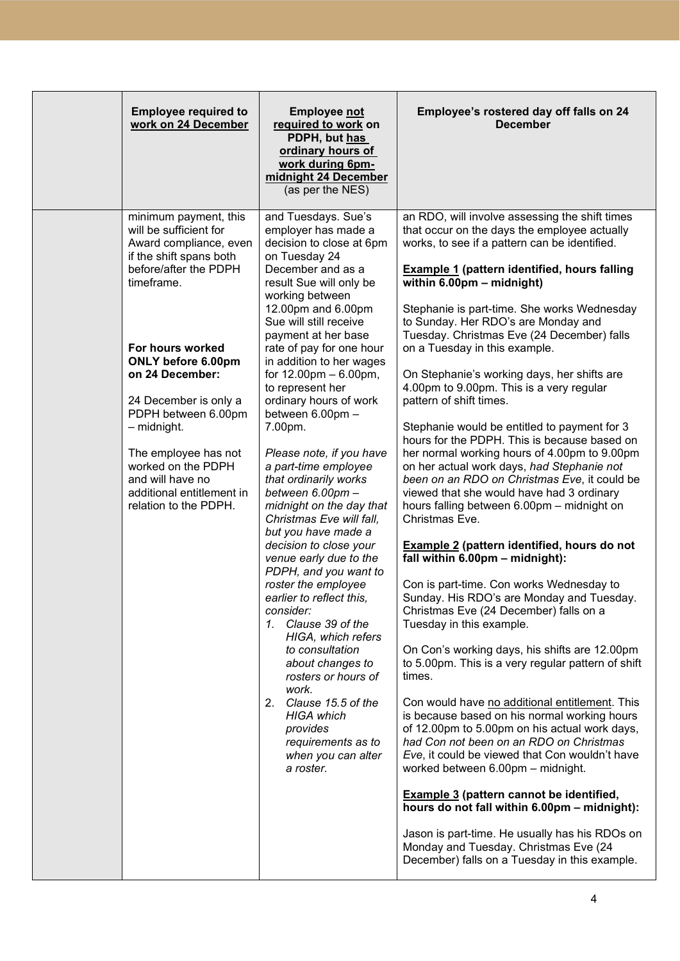| <b>Employee required to</b><br>work on 24 December                                                                                                                                                                                                                                                                                                                                              | <b>Employee not</b><br>required to work on<br>PDPH, but has<br>ordinary hours of<br>work during 6pm-<br>midnight 24 December<br>(as per the NES)                                                                                                                                                                                                                                                                                                                                                                                                                                                                                                                                                                                                                                                                                                                                                                                                                                       | Employee's rostered day off falls on 24<br><b>December</b>                                                                                                                                                                                                                                                                                                                                                                                                                                                                                                                                                                                                                                                                                                                                                                                                                                                                                                                                                                                                                                                                                                                                                                                                                                                                                                                                                                                                                                                                                                                                                                                                                                                                                                                                             |
|-------------------------------------------------------------------------------------------------------------------------------------------------------------------------------------------------------------------------------------------------------------------------------------------------------------------------------------------------------------------------------------------------|----------------------------------------------------------------------------------------------------------------------------------------------------------------------------------------------------------------------------------------------------------------------------------------------------------------------------------------------------------------------------------------------------------------------------------------------------------------------------------------------------------------------------------------------------------------------------------------------------------------------------------------------------------------------------------------------------------------------------------------------------------------------------------------------------------------------------------------------------------------------------------------------------------------------------------------------------------------------------------------|--------------------------------------------------------------------------------------------------------------------------------------------------------------------------------------------------------------------------------------------------------------------------------------------------------------------------------------------------------------------------------------------------------------------------------------------------------------------------------------------------------------------------------------------------------------------------------------------------------------------------------------------------------------------------------------------------------------------------------------------------------------------------------------------------------------------------------------------------------------------------------------------------------------------------------------------------------------------------------------------------------------------------------------------------------------------------------------------------------------------------------------------------------------------------------------------------------------------------------------------------------------------------------------------------------------------------------------------------------------------------------------------------------------------------------------------------------------------------------------------------------------------------------------------------------------------------------------------------------------------------------------------------------------------------------------------------------------------------------------------------------------------------------------------------------|
| minimum payment, this<br>will be sufficient for<br>Award compliance, even<br>if the shift spans both<br>before/after the PDPH<br>timeframe.<br>For hours worked<br>ONLY before 6.00pm<br>on 24 December:<br>24 December is only a<br>PDPH between 6.00pm<br>- midnight.<br>The employee has not<br>worked on the PDPH<br>and will have no<br>additional entitlement in<br>relation to the PDPH. | and Tuesdays. Sue's<br>employer has made a<br>decision to close at 6pm<br>on Tuesday 24<br>December and as a<br>result Sue will only be<br>working between<br>12.00pm and 6.00pm<br>Sue will still receive<br>payment at her base<br>rate of pay for one hour<br>in addition to her wages<br>for $12.00 \text{pm} - 6.00 \text{pm}$ ,<br>to represent her<br>ordinary hours of work<br>between 6.00pm -<br>7.00pm.<br>Please note, if you have<br>a part-time employee<br>that ordinarily works<br>between 6.00pm -<br>midnight on the day that<br>Christmas Eve will fall,<br>but you have made a<br>decision to close your<br>venue early due to the<br>PDPH, and you want to<br>roster the employee<br>earlier to reflect this,<br>consider:<br>1. Clause 39 of the<br>HIGA, which refers<br>to consultation<br>about changes to<br>rosters or hours of<br>work.<br>2. Clause 15.5 of the<br><b>HIGA</b> which<br>provides<br>requirements as to<br>when you can alter<br>a roster. | an RDO, will involve assessing the shift times<br>that occur on the days the employee actually<br>works, to see if a pattern can be identified.<br><b>Example 1 (pattern identified, hours falling</b><br>within 6.00pm - midnight)<br>Stephanie is part-time. She works Wednesday<br>to Sunday. Her RDO's are Monday and<br>Tuesday. Christmas Eve (24 December) falls<br>on a Tuesday in this example.<br>On Stephanie's working days, her shifts are<br>4.00pm to 9.00pm. This is a very regular<br>pattern of shift times.<br>Stephanie would be entitled to payment for 3<br>hours for the PDPH. This is because based on<br>her normal working hours of 4.00pm to 9.00pm<br>on her actual work days, had Stephanie not<br>been on an RDO on Christmas Eve, it could be<br>viewed that she would have had 3 ordinary<br>hours falling between 6.00pm - midnight on<br>Christmas Eve.<br><b>Example 2 (pattern identified, hours do not</b><br>fall within 6.00pm - midnight):<br>Con is part-time. Con works Wednesday to<br>Sunday. His RDO's are Monday and Tuesday.<br>Christmas Eve (24 December) falls on a<br>Tuesday in this example.<br>On Con's working days, his shifts are 12.00pm<br>to 5.00pm. This is a very regular pattern of shift<br>times.<br>Con would have no additional entitlement. This<br>is because based on his normal working hours<br>of 12.00pm to 5.00pm on his actual work days,<br>had Con not been on an RDO on Christmas<br>Eve, it could be viewed that Con wouldn't have<br>worked between 6.00pm - midnight.<br><b>Example 3 (pattern cannot be identified,</b><br>hours do not fall within 6.00pm - midnight):<br>Jason is part-time. He usually has his RDOs on<br>Monday and Tuesday. Christmas Eve (24<br>December) falls on a Tuesday in this example. |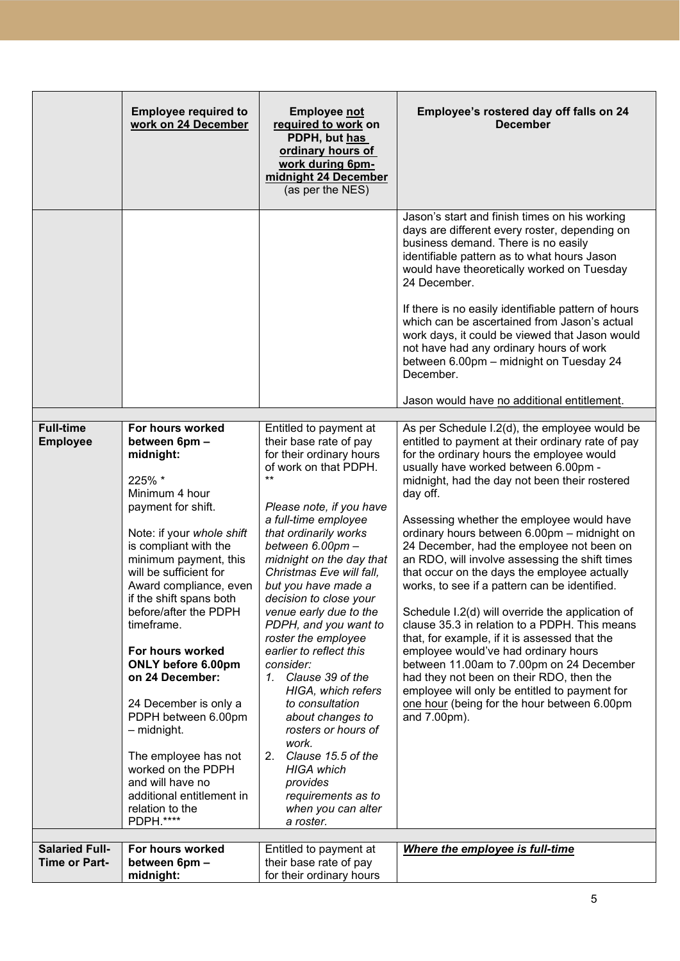|                                     | <b>Employee required to</b><br>work on 24 December                                                                                                                                                                                                                                                                                                                                                                                                                                                                                                               | <b>Employee not</b><br>required to work on<br>PDPH, but has<br>ordinary hours of<br>work during 6pm-<br>midnight 24 December<br>(as per the NES)                                                                                                                                                                                                                                                                                                                                                                                                                                                                                                                                    | Employee's rostered day off falls on 24<br><b>December</b>                                                                                                                                                                                                                                                                                                                                                                                                                                                                                                                                                                                                                                                                                                                                                                                                                                                                                             |
|-------------------------------------|------------------------------------------------------------------------------------------------------------------------------------------------------------------------------------------------------------------------------------------------------------------------------------------------------------------------------------------------------------------------------------------------------------------------------------------------------------------------------------------------------------------------------------------------------------------|-------------------------------------------------------------------------------------------------------------------------------------------------------------------------------------------------------------------------------------------------------------------------------------------------------------------------------------------------------------------------------------------------------------------------------------------------------------------------------------------------------------------------------------------------------------------------------------------------------------------------------------------------------------------------------------|--------------------------------------------------------------------------------------------------------------------------------------------------------------------------------------------------------------------------------------------------------------------------------------------------------------------------------------------------------------------------------------------------------------------------------------------------------------------------------------------------------------------------------------------------------------------------------------------------------------------------------------------------------------------------------------------------------------------------------------------------------------------------------------------------------------------------------------------------------------------------------------------------------------------------------------------------------|
|                                     |                                                                                                                                                                                                                                                                                                                                                                                                                                                                                                                                                                  |                                                                                                                                                                                                                                                                                                                                                                                                                                                                                                                                                                                                                                                                                     | Jason's start and finish times on his working<br>days are different every roster, depending on<br>business demand. There is no easily<br>identifiable pattern as to what hours Jason<br>would have theoretically worked on Tuesday<br>24 December.<br>If there is no easily identifiable pattern of hours<br>which can be ascertained from Jason's actual<br>work days, it could be viewed that Jason would<br>not have had any ordinary hours of work<br>between 6.00pm - midnight on Tuesday 24<br>December.<br>Jason would have no additional entitlement.                                                                                                                                                                                                                                                                                                                                                                                          |
|                                     |                                                                                                                                                                                                                                                                                                                                                                                                                                                                                                                                                                  |                                                                                                                                                                                                                                                                                                                                                                                                                                                                                                                                                                                                                                                                                     |                                                                                                                                                                                                                                                                                                                                                                                                                                                                                                                                                                                                                                                                                                                                                                                                                                                                                                                                                        |
| <b>Full-time</b><br><b>Employee</b> | For hours worked<br>between 6pm -<br>midnight:<br>225% *<br>Minimum 4 hour<br>payment for shift.<br>Note: if your whole shift<br>is compliant with the<br>minimum payment, this<br>will be sufficient for<br>Award compliance, even<br>if the shift spans both<br>before/after the PDPH<br>timeframe.<br>For hours worked<br>ONLY before 6.00pm<br>on 24 December:<br>24 December is only a<br>PDPH between 6.00pm<br>- midnight.<br>The employee has not<br>worked on the PDPH<br>and will have no<br>additional entitlement in<br>relation to the<br>PDPH.**** | Entitled to payment at<br>their base rate of pay<br>for their ordinary hours<br>of work on that PDPH.<br>$**$<br>Please note, if you have<br>a full-time employee<br>that ordinarily works<br>between 6.00pm -<br>midnight on the day that<br>Christmas Eve will fall,<br>but you have made a<br>decision to close your<br>venue early due to the<br>PDPH, and you want to<br>roster the employee<br>earlier to reflect this<br>consider:<br>1. Clause 39 of the<br>HIGA, which refers<br>to consultation<br>about changes to<br>rosters or hours of<br>work.<br>Clause 15.5 of the<br>2.<br><b>HIGA</b> which<br>provides<br>requirements as to<br>when you can alter<br>a roster. | As per Schedule I.2(d), the employee would be<br>entitled to payment at their ordinary rate of pay<br>for the ordinary hours the employee would<br>usually have worked between 6.00pm -<br>midnight, had the day not been their rostered<br>day off.<br>Assessing whether the employee would have<br>ordinary hours between 6.00pm - midnight on<br>24 December, had the employee not been on<br>an RDO, will involve assessing the shift times<br>that occur on the days the employee actually<br>works, to see if a pattern can be identified.<br>Schedule I.2(d) will override the application of<br>clause 35.3 in relation to a PDPH. This means<br>that, for example, if it is assessed that the<br>employee would've had ordinary hours<br>between 11.00am to 7.00pm on 24 December<br>had they not been on their RDO, then the<br>employee will only be entitled to payment for<br>one hour (being for the hour between 6.00pm<br>and 7.00pm). |
| <b>Salaried Full-</b>               | For hours worked                                                                                                                                                                                                                                                                                                                                                                                                                                                                                                                                                 | Entitled to payment at                                                                                                                                                                                                                                                                                                                                                                                                                                                                                                                                                                                                                                                              | Where the employee is full-time                                                                                                                                                                                                                                                                                                                                                                                                                                                                                                                                                                                                                                                                                                                                                                                                                                                                                                                        |
| <b>Time or Part-</b>                | between 6pm -<br>midnight:                                                                                                                                                                                                                                                                                                                                                                                                                                                                                                                                       | their base rate of pay<br>for their ordinary hours                                                                                                                                                                                                                                                                                                                                                                                                                                                                                                                                                                                                                                  |                                                                                                                                                                                                                                                                                                                                                                                                                                                                                                                                                                                                                                                                                                                                                                                                                                                                                                                                                        |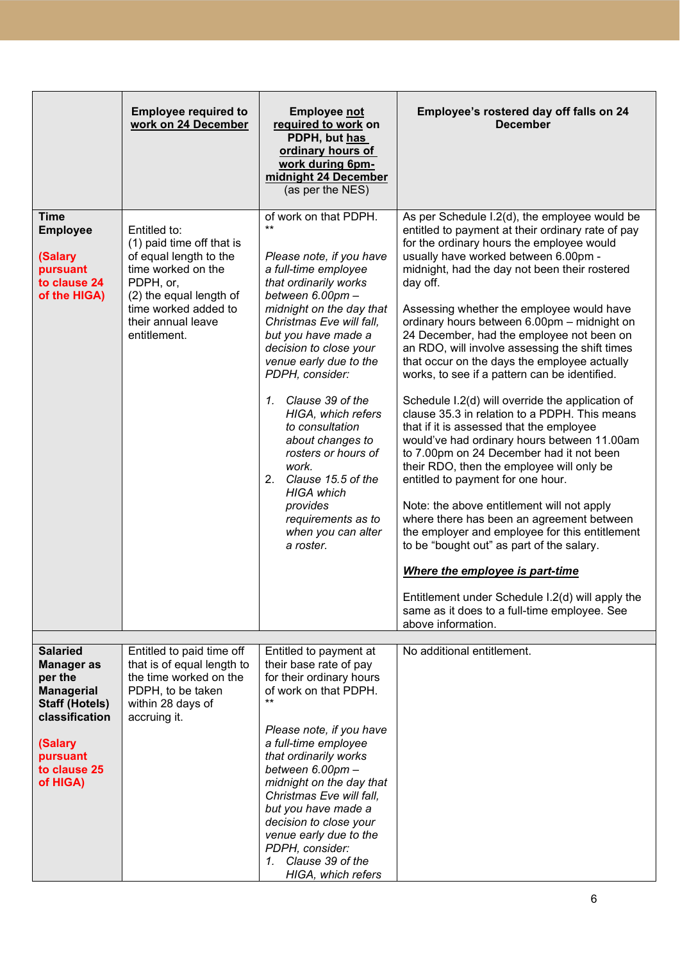|                                                                                                                                                                    | <b>Employee required to</b><br>work on 24 December                                                                                                                                              | <b>Employee not</b><br>required to work on<br>PDPH, but has<br>ordinary hours of<br>work during 6pm-<br>midnight 24 December<br>(as per the NES)                                                                                                                                                                                                                                                                                                                                                                                                    | Employee's rostered day off falls on 24<br><b>December</b>                                                                                                                                                                                                                                                                                                                                                                                                                                                                                                                                                                                                                                                                                                                                                                                                                                                                                                                                                                                                                                                                                                                                                                            |
|--------------------------------------------------------------------------------------------------------------------------------------------------------------------|-------------------------------------------------------------------------------------------------------------------------------------------------------------------------------------------------|-----------------------------------------------------------------------------------------------------------------------------------------------------------------------------------------------------------------------------------------------------------------------------------------------------------------------------------------------------------------------------------------------------------------------------------------------------------------------------------------------------------------------------------------------------|---------------------------------------------------------------------------------------------------------------------------------------------------------------------------------------------------------------------------------------------------------------------------------------------------------------------------------------------------------------------------------------------------------------------------------------------------------------------------------------------------------------------------------------------------------------------------------------------------------------------------------------------------------------------------------------------------------------------------------------------------------------------------------------------------------------------------------------------------------------------------------------------------------------------------------------------------------------------------------------------------------------------------------------------------------------------------------------------------------------------------------------------------------------------------------------------------------------------------------------|
| <b>Time</b><br><b>Employee</b><br>(Salary<br>pursuant<br>to clause 24<br>of the HIGA)                                                                              | Entitled to:<br>(1) paid time off that is<br>of equal length to the<br>time worked on the<br>PDPH, or,<br>(2) the equal length of<br>time worked added to<br>their annual leave<br>entitlement. | of work on that PDPH.<br>$\star\star$<br>Please note, if you have<br>a full-time employee<br>that ordinarily works<br>between 6.00pm -<br>midnight on the day that<br>Christmas Eve will fall,<br>but you have made a<br>decision to close your<br>venue early due to the<br>PDPH, consider:<br>Clause 39 of the<br>$\mathcal{I}$ .<br>HIGA, which refers<br>to consultation<br>about changes to<br>rosters or hours of<br>work.<br>2. Clause 15.5 of the<br><b>HIGA</b> which<br>provides<br>requirements as to<br>when you can alter<br>a roster. | As per Schedule I.2(d), the employee would be<br>entitled to payment at their ordinary rate of pay<br>for the ordinary hours the employee would<br>usually have worked between 6.00pm -<br>midnight, had the day not been their rostered<br>day off.<br>Assessing whether the employee would have<br>ordinary hours between 6.00pm - midnight on<br>24 December, had the employee not been on<br>an RDO, will involve assessing the shift times<br>that occur on the days the employee actually<br>works, to see if a pattern can be identified.<br>Schedule I.2(d) will override the application of<br>clause 35.3 in relation to a PDPH. This means<br>that if it is assessed that the employee<br>would've had ordinary hours between 11.00am<br>to 7.00pm on 24 December had it not been<br>their RDO, then the employee will only be<br>entitled to payment for one hour.<br>Note: the above entitlement will not apply<br>where there has been an agreement between<br>the employer and employee for this entitlement<br>to be "bought out" as part of the salary.<br>Where the employee is part-time<br>Entitlement under Schedule I.2(d) will apply the<br>same as it does to a full-time employee. See<br>above information. |
|                                                                                                                                                                    |                                                                                                                                                                                                 |                                                                                                                                                                                                                                                                                                                                                                                                                                                                                                                                                     |                                                                                                                                                                                                                                                                                                                                                                                                                                                                                                                                                                                                                                                                                                                                                                                                                                                                                                                                                                                                                                                                                                                                                                                                                                       |
| <b>Salaried</b><br><b>Manager as</b><br>per the<br><b>Managerial</b><br><b>Staff (Hotels)</b><br>classification<br>(Salary<br>pursuant<br>to clause 25<br>of HIGA) | Entitled to paid time off<br>that is of equal length to<br>the time worked on the<br>PDPH, to be taken<br>within 28 days of<br>accruing it.                                                     | Entitled to payment at<br>their base rate of pay<br>for their ordinary hours<br>of work on that PDPH.<br>$^{\star\star}$<br>Please note, if you have<br>a full-time employee<br>that ordinarily works<br>between 6.00pm -<br>midnight on the day that<br>Christmas Eve will fall,<br>but you have made a<br>decision to close your<br>venue early due to the<br>PDPH, consider:<br>Clause 39 of the<br>$\mathcal{I}$ .<br>HIGA, which refers                                                                                                        | No additional entitlement.                                                                                                                                                                                                                                                                                                                                                                                                                                                                                                                                                                                                                                                                                                                                                                                                                                                                                                                                                                                                                                                                                                                                                                                                            |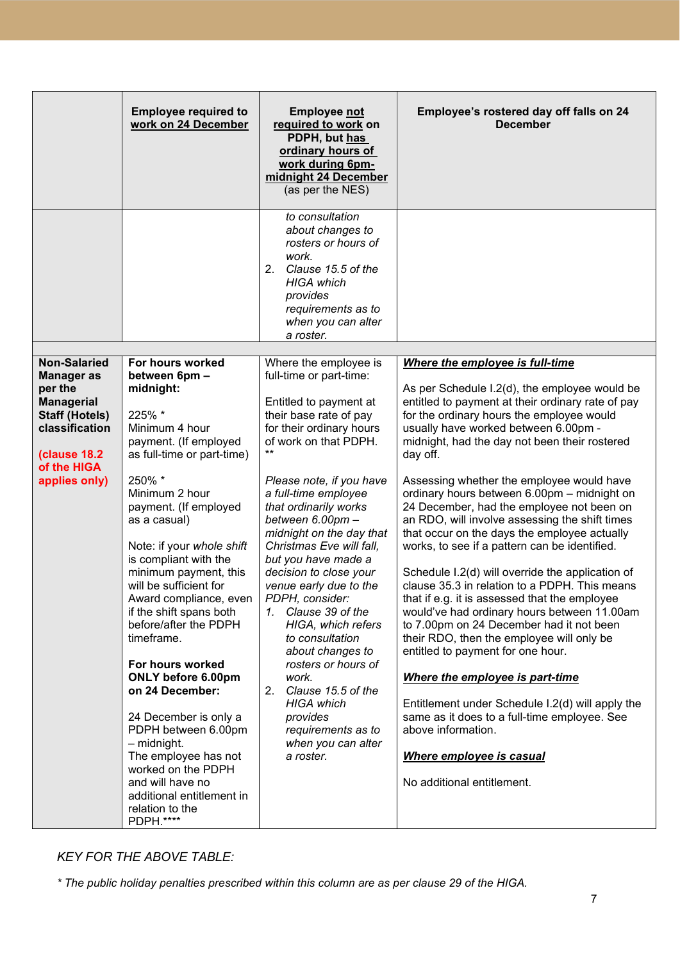|                                                                                                                                                      | <b>Employee required to</b><br>work on 24 December                                                                                                                                                                                                                                                                                                                                                                                                                                                                                                                                                                                    | <b>Employee not</b><br>required to work on<br>PDPH, but has<br>ordinary hours of<br>work during 6pm-<br>midnight 24 December<br>(as per the NES)<br>to consultation<br>about changes to<br>rosters or hours of<br>work.<br>2.<br>Clause 15.5 of the<br><b>HIGA</b> which<br>provides<br>requirements as to<br>when you can alter<br>a roster.                                                                                                                                                                                                                                                                                                 | Employee's rostered day off falls on 24<br><b>December</b>                                                                                                                                                                                                                                                                                                                                                                                                                                                                                                                                                                                                                                                                                                                                                                                                                                                                                                                                                                                                                                                 |
|------------------------------------------------------------------------------------------------------------------------------------------------------|---------------------------------------------------------------------------------------------------------------------------------------------------------------------------------------------------------------------------------------------------------------------------------------------------------------------------------------------------------------------------------------------------------------------------------------------------------------------------------------------------------------------------------------------------------------------------------------------------------------------------------------|-----------------------------------------------------------------------------------------------------------------------------------------------------------------------------------------------------------------------------------------------------------------------------------------------------------------------------------------------------------------------------------------------------------------------------------------------------------------------------------------------------------------------------------------------------------------------------------------------------------------------------------------------|------------------------------------------------------------------------------------------------------------------------------------------------------------------------------------------------------------------------------------------------------------------------------------------------------------------------------------------------------------------------------------------------------------------------------------------------------------------------------------------------------------------------------------------------------------------------------------------------------------------------------------------------------------------------------------------------------------------------------------------------------------------------------------------------------------------------------------------------------------------------------------------------------------------------------------------------------------------------------------------------------------------------------------------------------------------------------------------------------------|
| <b>Non-Salaried</b>                                                                                                                                  | For hours worked                                                                                                                                                                                                                                                                                                                                                                                                                                                                                                                                                                                                                      | Where the employee is                                                                                                                                                                                                                                                                                                                                                                                                                                                                                                                                                                                                                         | Where the employee is full-time                                                                                                                                                                                                                                                                                                                                                                                                                                                                                                                                                                                                                                                                                                                                                                                                                                                                                                                                                                                                                                                                            |
| <b>Manager</b> as<br>per the<br><b>Managerial</b><br><b>Staff (Hotels)</b><br>classification<br><b>(clause 18.2)</b><br>of the HIGA<br>applies only) | between 6pm -<br>midnight:<br>225% *<br>Minimum 4 hour<br>payment. (If employed<br>as full-time or part-time)<br>250% *<br>Minimum 2 hour<br>payment. (If employed<br>as a casual)<br>Note: if your whole shift<br>is compliant with the<br>minimum payment, this<br>will be sufficient for<br>Award compliance, even<br>if the shift spans both<br>before/after the PDPH<br>timeframe.<br>For hours worked<br>ONLY before 6.00pm<br>on 24 December:<br>24 December is only a<br>PDPH between 6.00pm<br>- midnight.<br>The employee has not<br>worked on the PDPH<br>and will have no<br>additional entitlement in<br>relation to the | full-time or part-time:<br>Entitled to payment at<br>their base rate of pay<br>for their ordinary hours<br>of work on that PDPH.<br>$***$<br>Please note, if you have<br>a full-time employee<br>that ordinarily works<br>between 6.00pm -<br>midnight on the day that<br>Christmas Eve will fall.<br>but you have made a<br>decision to close your<br>venue early due to the<br>PDPH, consider:<br>Clause 39 of the<br>1.<br>HIGA, which refers<br>to consultation<br>about changes to<br>rosters or hours of<br>work.<br>2.<br>Clause 15.5 of the<br><b>HIGA</b> which<br>provides<br>requirements as to<br>when you can alter<br>a roster. | As per Schedule I.2(d), the employee would be<br>entitled to payment at their ordinary rate of pay<br>for the ordinary hours the employee would<br>usually have worked between 6.00pm -<br>midnight, had the day not been their rostered<br>day off.<br>Assessing whether the employee would have<br>ordinary hours between 6.00pm - midnight on<br>24 December, had the employee not been on<br>an RDO, will involve assessing the shift times<br>that occur on the days the employee actually<br>works, to see if a pattern can be identified.<br>Schedule I.2(d) will override the application of<br>clause 35.3 in relation to a PDPH. This means<br>that if e.g. it is assessed that the employee<br>would've had ordinary hours between 11.00am<br>to 7.00pm on 24 December had it not been<br>their RDO, then the employee will only be<br>entitled to payment for one hour.<br>Where the employee is part-time<br>Entitlement under Schedule I.2(d) will apply the<br>same as it does to a full-time employee. See<br>above information.<br>Where employee is casual<br>No additional entitlement. |

# *KEY FOR THE ABOVE TABLE:*

*\* The public holiday penalties prescribed within this column are as per clause 29 of the HIGA.*